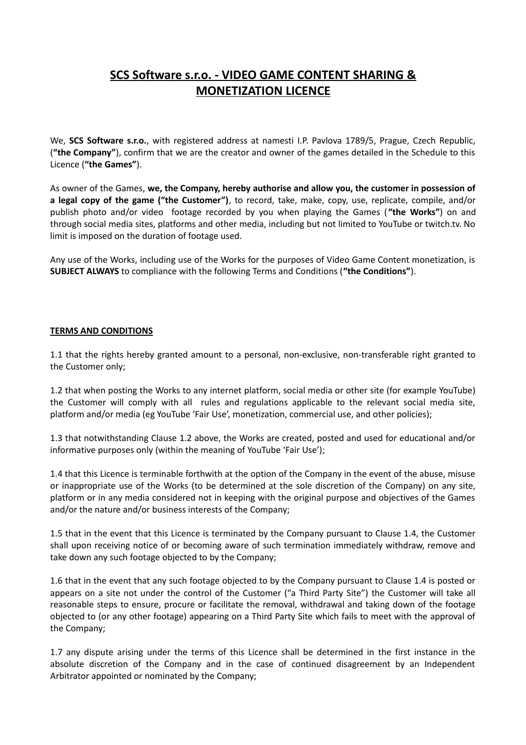## **SCS Software s.r.o. - VIDEO GAME CONTENT SHARING & MONETIZATION LICENCE**

We, **SCS Software s.r.o.**, with registered address at namesti I.P. Pavlova 1789/5, Prague, Czech Republic, (**"the Company"**), confirm that we are the creator and owner of the games detailed in the Schedule to this Licence (**"the Games"**).

As owner of the Games, **we, the Company, hereby authorise and allow you, the customer in possession of a legal copy of the game ("the Customer")**, to record, take, make, copy, use, replicate, compile, and/or publish photo and/or video footage recorded by you when playing the Games ( **"the Works"**) on and through social media sites, platforms and other media, including but not limited to YouTube or twitch.tv. No limit is imposed on the duration of footage used.

Any use of the Works, including use of the Works for the purposes of Video Game Content monetization, is **SUBJECT ALWAYS** to compliance with the following Terms and Conditions (**"the Conditions"**).

## **TERMS AND CONDITIONS**

1.1 that the rights hereby granted amount to a personal, non-exclusive, non-transferable right granted to the Customer only;

1.2 that when posting the Works to any internet platform, social media or other site (for example YouTube) the Customer will comply with all rules and regulations applicable to the relevant social media site, platform and/or media (eg YouTube 'Fair Use', monetization, commercial use, and other policies);

1.3 that notwithstanding Clause 1.2 above, the Works are created, posted and used for educational and/or informative purposes only (within the meaning of YouTube 'Fair Use');

1.4 that this Licence is terminable forthwith at the option of the Company in the event of the abuse, misuse or inappropriate use of the Works (to be determined at the sole discretion of the Company) on any site, platform or in any media considered not in keeping with the original purpose and objectives of the Games and/or the nature and/or business interests of the Company;

1.5 that in the event that this Licence is terminated by the Company pursuant to Clause 1.4, the Customer shall upon receiving notice of or becoming aware of such termination immediately withdraw, remove and take down any such footage objected to by the Company;

1.6 that in the event that any such footage objected to by the Company pursuant to Clause 1.4 is posted or appears on a site not under the control of the Customer ("a Third Party Site") the Customer will take all reasonable steps to ensure, procure or facilitate the removal, withdrawal and taking down of the footage objected to (or any other footage) appearing on a Third Party Site which fails to meet with the approval of the Company;

1.7 any dispute arising under the terms of this Licence shall be determined in the first instance in the absolute discretion of the Company and in the case of continued disagreement by an Independent Arbitrator appointed or nominated by the Company;